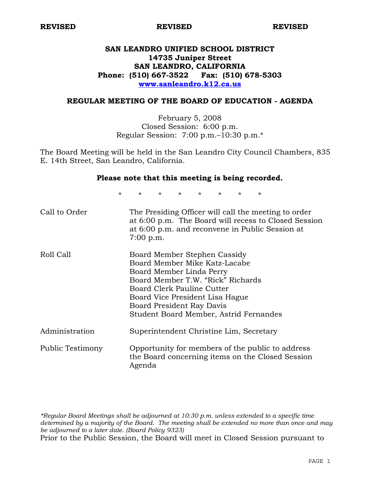# **SAN LEANDRO UNIFIED SCHOOL DISTRICT 14735 Juniper Street SAN LEANDRO, CALIFORNIA Phone: (510) 667-3522 Fax: (510) 678-5303 www.sanleandro.k12.ca.us**

#### **REGULAR MEETING OF THE BOARD OF EDUCATION - AGENDA**

February 5, 2008 Closed Session: 6:00 p.m. Regular Session: 7:00 p.m.–10:30 p.m.\*

The Board Meeting will be held in the San Leandro City Council Chambers, 835 E. 14th Street, San Leandro, California.

#### **Please note that this meeting is being recorded.**

\* \* \* \* \* \* \* \*

| Call to Order    | The Presiding Officer will call the meeting to order<br>at 6:00 p.m. The Board will recess to Closed Session<br>at 6:00 p.m. and reconvene in Public Session at<br>$7:00$ p.m.                                                                                         |
|------------------|------------------------------------------------------------------------------------------------------------------------------------------------------------------------------------------------------------------------------------------------------------------------|
| Roll Call        | Board Member Stephen Cassidy<br>Board Member Mike Katz-Lacabe<br>Board Member Linda Perry<br>Board Member T.W. "Rick" Richards<br>Board Clerk Pauline Cutter<br>Board Vice President Lisa Hague<br>Board President Ray Davis<br>Student Board Member, Astrid Fernandes |
| Administration   | Superintendent Christine Lim, Secretary                                                                                                                                                                                                                                |
| Public Testimony | Opportunity for members of the public to address<br>the Board concerning items on the Closed Session<br>Agenda                                                                                                                                                         |

*\*Regular Board Meetings shall be adjourned at 10:30 p.m. unless extended to a specific time determined by a majority of the Board. The meeting shall be extended no more than once and may be adjourned to a later date. (Board Policy 9323)*  Prior to the Public Session, the Board will meet in Closed Session pursuant to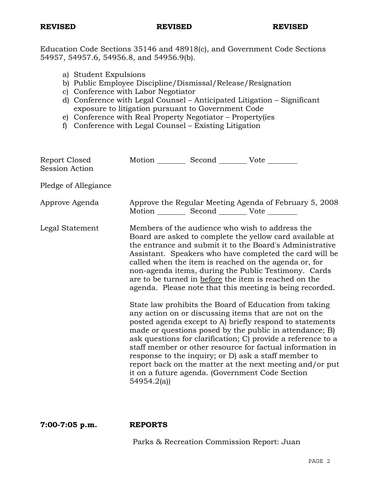Education Code Sections 35146 and 48918(c), and Government Code Sections 54957, 54957.6, 54956.8, and 54956.9(b).

- a) Student Expulsions
- b) Public Employee Discipline/Dismissal/Release/Resignation
- c) Conference with Labor Negotiator
- d) Conference with Legal Counsel Anticipated Litigation Significant exposure to litigation pursuant to Government Code
- e) Conference with Real Property Negotiator Property(ies
- f) Conference with Legal Counsel Existing Litigation

| Report Closed<br><b>Session Action</b> | Motion __________ Second __________ Vote _______      |                                                                                                                                                                                                                                                                                                                                                                                                                                                                                                                                                                                                                                                                                                                                                                                                                                                                                                                                                                                                                        |
|----------------------------------------|-------------------------------------------------------|------------------------------------------------------------------------------------------------------------------------------------------------------------------------------------------------------------------------------------------------------------------------------------------------------------------------------------------------------------------------------------------------------------------------------------------------------------------------------------------------------------------------------------------------------------------------------------------------------------------------------------------------------------------------------------------------------------------------------------------------------------------------------------------------------------------------------------------------------------------------------------------------------------------------------------------------------------------------------------------------------------------------|
| Pledge of Allegiance                   |                                                       |                                                                                                                                                                                                                                                                                                                                                                                                                                                                                                                                                                                                                                                                                                                                                                                                                                                                                                                                                                                                                        |
| Approve Agenda                         | Motion ___________ Second ____________ Vote _________ | Approve the Regular Meeting Agenda of February 5, 2008                                                                                                                                                                                                                                                                                                                                                                                                                                                                                                                                                                                                                                                                                                                                                                                                                                                                                                                                                                 |
| Legal Statement                        | 54954.2(a)                                            | Members of the audience who wish to address the<br>Board are asked to complete the yellow card available at<br>the entrance and submit it to the Board's Administrative<br>Assistant. Speakers who have completed the card will be<br>called when the item is reached on the agenda or, for<br>non-agenda items, during the Public Testimony. Cards<br>are to be turned in before the item is reached on the<br>agenda. Please note that this meeting is being recorded.<br>State law prohibits the Board of Education from taking<br>any action on or discussing items that are not on the<br>posted agenda except to A) briefly respond to statements<br>made or questions posed by the public in attendance; B)<br>ask questions for clarification; C) provide a reference to a<br>staff member or other resource for factual information in<br>response to the inquiry; or D) ask a staff member to<br>report back on the matter at the next meeting and/or put<br>it on a future agenda. (Government Code Section |
|                                        |                                                       |                                                                                                                                                                                                                                                                                                                                                                                                                                                                                                                                                                                                                                                                                                                                                                                                                                                                                                                                                                                                                        |

**7:00-7:05 p.m. REPORTS** 

Parks & Recreation Commission Report: Juan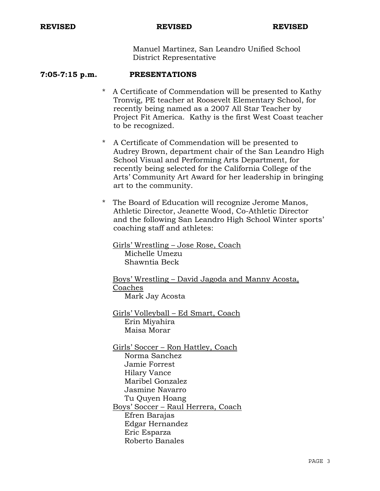Manuel Martinez, San Leandro Unified School District Representative

### **7:05-7:15 p.m. PRESENTATIONS**

- \* A Certificate of Commendation will be presented to Kathy Tronvig, PE teacher at Roosevelt Elementary School, for recently being named as a 2007 All Star Teacher by Project Fit America. Kathy is the first West Coast teacher to be recognized.
- \* A Certificate of Commendation will be presented to Audrey Brown, department chair of the San Leandro High School Visual and Performing Arts Department, for recently being selected for the California College of the Arts' Community Art Award for her leadership in bringing art to the community.
- \* The Board of Education will recognize Jerome Manos, Athletic Director, Jeanette Wood, Co-Athletic Director and the following San Leandro High School Winter sports' coaching staff and athletes:

 Girls' Wrestling – Jose Rose, Coach Michelle Umezu Shawntia Beck

 Boys' Wrestling – David Jagoda and Manny Acosta, Coaches Mark Jay Acosta

 Girls' Volleyball – Ed Smart, Coach Erin Miyahira Maisa Morar

 Girls' Soccer – Ron Hattley, Coach Norma Sanchez Jamie Forrest Hilary Vance Maribel Gonzalez Jasmine Navarro Tu Quyen Hoang Boys' Soccer – Raul Herrera, Coach Efren Barajas Edgar Hernandez Eric Esparza Roberto Banales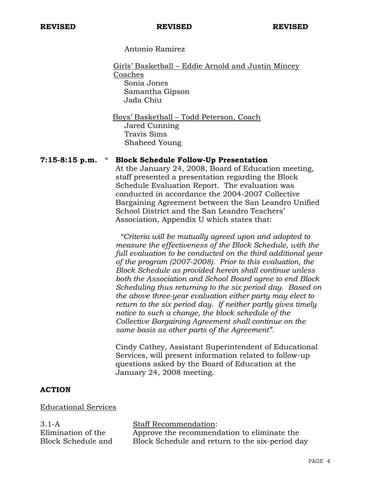Antonio Ramirez

Girls' Basketball – Eddie Arnold and Justin Mincey Coaches Sonia Jones Samantha Gipson Jada Chiu

 Boys' Basketball – Todd Peterson, Coach Jared Cunning Travis Sims Shaheed Young

#### **7:15-8:15 p.m.** \* **Block Schedule Follow-Up Presentation**

 At the January 24, 2008, Board of Education meeting, staff presented a presentation regarding the Block Schedule Evaluation Report. The evaluation was conducted in accordance the 2004-2007 Collective Bargaining Agreement between the San Leandro Unified School District and the San Leandro Teachers' Association, Appendix U which states that:

 *"Criteria will be mutually agreed upon and adopted to measure the effectiveness of the Block Schedule, with the full evaluation to be conducted on the third additional year of the program (2007-2008). Prior to this evaluation, the Block Schedule as provided herein shall continue unless both the Association and School Board agree to end Block Scheduling thus returning to the six period day. Based on the above three-year evaluation either party may elect to return to the six period day. If neither partly gives timely notice to such a change, the block schedule of the Collective Bargaining Agreement shall continue on the same basis as other parts of the Agreement".*

Cindy Cathey, Assistant Superintendent of Educational Services, will present information related to follow-up questions asked by the Board of Education at the January 24, 2008 meeting.

# **ACTION**

Educational Services

3.1-A Elimination of the Block Schedule and

#### Staff Recommendation:

Approve the recommendation to eliminate the Block Schedule and return to the six-period day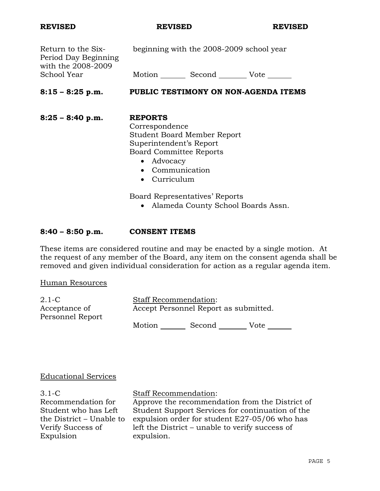| Return to the Six-<br>Period Day Beginning<br>with the 2008-2009 | beginning with the 2008-2009 school year                  |  |
|------------------------------------------------------------------|-----------------------------------------------------------|--|
| School Year                                                      | Motion ______ Second _________ Vote _______               |  |
| $8:15 - 8:25$ p.m.                                               | PUBLIC TESTIMONY ON NON-AGENDA ITEMS                      |  |
| $8:25 - 8:40$ p.m.                                               | <b>REPORTS</b><br>Correspondence                          |  |
|                                                                  | <b>Student Board Member Report</b>                        |  |
|                                                                  | Superintendent's Report<br><b>Board Committee Reports</b> |  |
|                                                                  | • Advocacy                                                |  |
|                                                                  | Communication                                             |  |

• Curriculum

Board Representatives' Reports

• Alameda County School Boards Assn.

## **8:40 – 8:50 p.m. CONSENT ITEMS**

These items are considered routine and may be enacted by a single motion. At the request of any member of the Board, any item on the consent agenda shall be removed and given individual consideration for action as a regular agenda item.

Human Resources

| 2.1-C            | <b>Staff Recommendation:</b>          |        |      |  |
|------------------|---------------------------------------|--------|------|--|
| Acceptance of    | Accept Personnel Report as submitted. |        |      |  |
| Personnel Report | Motion                                | Second | Vote |  |

#### Educational Services

3.1-C Recommendation for Student who has Left the District – Unable to Verify Success of Expulsion

# Staff Recommendation:

Approve the recommendation from the District of Student Support Services for continuation of the expulsion order for student E27-05/06 who has left the District – unable to verify success of expulsion.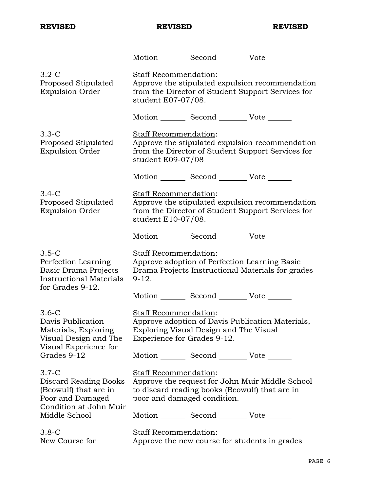|                                                                                                              |                                                      | Motion _________ Second __________ Vote _______ |                                                                                                      |
|--------------------------------------------------------------------------------------------------------------|------------------------------------------------------|-------------------------------------------------|------------------------------------------------------------------------------------------------------|
| $3.2 - C$<br>Proposed Stipulated<br><b>Expulsion Order</b>                                                   | Staff Recommendation:<br>student E07-07/08.          |                                                 | Approve the stipulated expulsion recommendation<br>from the Director of Student Support Services for |
|                                                                                                              |                                                      | Motion _________ Second __________ Vote _______ |                                                                                                      |
| $3.3-C$<br>Proposed Stipulated<br><b>Expulsion Order</b>                                                     | <b>Staff Recommendation:</b><br>student E09-07/08    |                                                 | Approve the stipulated expulsion recommendation<br>from the Director of Student Support Services for |
|                                                                                                              |                                                      | Motion _________ Second __________ Vote _______ |                                                                                                      |
| $3.4-C$<br>Proposed Stipulated<br><b>Expulsion Order</b>                                                     | Staff Recommendation:<br>student E10-07/08.          |                                                 | Approve the stipulated expulsion recommendation<br>from the Director of Student Support Services for |
|                                                                                                              |                                                      | Motion _________ Second __________ Vote _______ |                                                                                                      |
| $3.5-C$<br>Perfection Learning<br>Basic Drama Projects<br><b>Instructional Materials</b><br>for Grades 9-12. | Staff Recommendation:<br>$9-12.$                     | Approve adoption of Perfection Learning Basic   | Drama Projects Instructional Materials for grades                                                    |
|                                                                                                              |                                                      | Motion _________ Second __________ Vote _______ |                                                                                                      |
| $3.6-C$<br>Davis Publication<br>Materials, Exploring<br>Visual Design and The<br>Visual Experience for       | Staff Recommendation:<br>Experience for Grades 9-12. | Exploring Visual Design and The Visual          | Approve adoption of Davis Publication Materials,                                                     |
| Grades 9-12                                                                                                  |                                                      | Motion _________ Second __________ Vote _______ |                                                                                                      |
| $3.7-C$<br>Discard Reading Books<br>(Beowulf) that are in<br>Poor and Damaged<br>Condition at John Muir      | Staff Recommendation:<br>poor and damaged condition. | to discard reading books (Beowulf) that are in  | Approve the request for John Muir Middle School                                                      |
| Middle School                                                                                                |                                                      | Motion _________ Second _________ Vote _______  |                                                                                                      |
| $3.8-C$<br>New Course for                                                                                    | Staff Recommendation:                                | Approve the new course for students in grades   |                                                                                                      |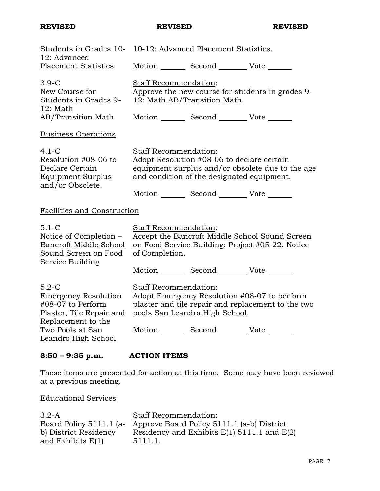| $8:50 - 9:35$ p.m.                                                                                               | <b>ACTION ITEMS</b>                     |                                                                                                                                             |                                                                                                    |
|------------------------------------------------------------------------------------------------------------------|-----------------------------------------|---------------------------------------------------------------------------------------------------------------------------------------------|----------------------------------------------------------------------------------------------------|
| Plaster, Tile Repair and<br>Replacement to the<br>Two Pools at San<br>Leandro High School                        |                                         | Motion _________ Second __________ Vote _______                                                                                             |                                                                                                    |
| $5.2-C$<br><b>Emergency Resolution</b><br>#08-07 to Perform                                                      | Staff Recommendation:                   | pools San Leandro High School.                                                                                                              | Adopt Emergency Resolution #08-07 to perform<br>plaster and tile repair and replacement to the two |
|                                                                                                                  |                                         | Motion _________ Second __________ Vote _______                                                                                             |                                                                                                    |
| $5.1 - C$<br>Notice of Completion -<br><b>Bancroft Middle School</b><br>Sound Screen on Food<br>Service Building | Staff Recommendation:<br>of Completion. |                                                                                                                                             | Accept the Bancroft Middle School Sound Screen<br>on Food Service Building: Project #05-22, Notice |
| Facilities and Construction                                                                                      |                                         |                                                                                                                                             |                                                                                                    |
| Resolution #08-06 to<br>Declare Certain<br><b>Equipment Surplus</b><br>and/or Obsolete.                          |                                         | Adopt Resolution #08-06 to declare certain<br>and condition of the designated equipment.<br>Motion _________ Second __________ Vote _______ | equipment surplus and/or obsolete due to the age                                                   |
| <b>Business Operations</b><br>$4.1 - C$                                                                          | Staff Recommendation:                   |                                                                                                                                             |                                                                                                    |
| $3.9-C$<br>New Course for<br>Students in Grades 9-<br>12: Math<br>AB/Transition Math                             | <b>Staff Recommendation:</b>            | 12: Math AB/Transition Math.<br>Motion Second Vote                                                                                          | Approve the new course for students in grades 9-                                                   |
| <b>Placement Statistics</b>                                                                                      |                                         | Motion Second Vote                                                                                                                          |                                                                                                    |
| Students in Grades 10- 10-12: Advanced Placement Statistics.<br>12: Advanced                                     |                                         |                                                                                                                                             |                                                                                                    |

These items are presented for action at this time. Some may have been reviewed at a previous meeting.

Educational Services

| $3.2-A$               | <b>Staff Recommendation:</b>                                       |
|-----------------------|--------------------------------------------------------------------|
|                       | Board Policy 5111.1 (a- Approve Board Policy 5111.1 (a-b) District |
| b) District Residency | Residency and Exhibits $E(1)$ 5111.1 and $E(2)$                    |
| and Exhibits $E(1)$   | 5111.1.                                                            |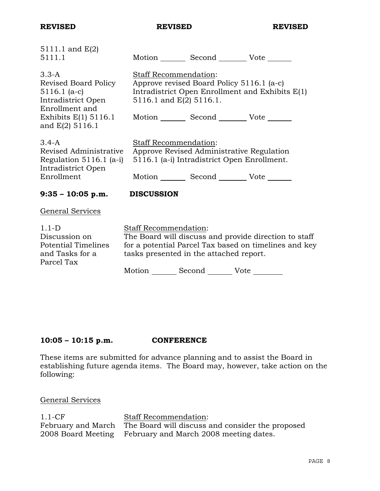| 5111.1 and E(2)<br>5111.1                                                                 |                              |                                                  | Motion Second Vote ______                                                                                      |  |
|-------------------------------------------------------------------------------------------|------------------------------|--------------------------------------------------|----------------------------------------------------------------------------------------------------------------|--|
| $3.3-A$<br>Revised Board Policy<br>$5116.1$ (a-c)<br>Intradistrict Open<br>Enrollment and |                              | Staff Recommendation:<br>5116.1 and E(2) 5116.1. | Approve revised Board Policy 5116.1 (a-c)<br>Intradistrict Open Enrollment and Exhibits E(1)                   |  |
| Exhibits $E(1)$ 5116.1<br>and $E(2)$ 5116.1                                               |                              |                                                  | Motion _________ Second ___________ Vote _______                                                               |  |
| $3.4-A$<br>Revised Administrative<br>Regulation $5116.1$ (a-i)<br>Intradistrict Open      |                              | Staff Recommendation:                            | Approve Revised Administrative Regulation<br>5116.1 (a-i) Intradistrict Open Enrollment.                       |  |
| Enrollment                                                                                |                              |                                                  | Motion _________ Second __________ Vote _______                                                                |  |
| $9:35 - 10:05$ p.m.                                                                       | <b>DISCUSSION</b>            |                                                  |                                                                                                                |  |
| General Services                                                                          |                              |                                                  |                                                                                                                |  |
| $1.1-D$<br>Discussion on<br><b>Potential Timelines</b><br>and Tasks for a<br>Parcel Tax   | <b>Staff Recommendation:</b> | tasks presented in the attached report.          | The Board will discuss and provide direction to staff<br>for a potential Parcel Tax based on timelines and key |  |
|                                                                                           |                              | Motion ________ Second ________ Vote ________    |                                                                                                                |  |

# **10:05 – 10:15 p.m. CONFERENCE**

These items are submitted for advance planning and to assist the Board in establishing future agenda items. The Board may, however, take action on the following:

# General Services

| $1.1 - CF$ | <b>Staff Recommendation:</b>                                        |
|------------|---------------------------------------------------------------------|
|            | February and March The Board will discuss and consider the proposed |
|            | 2008 Board Meeting February and March 2008 meeting dates.           |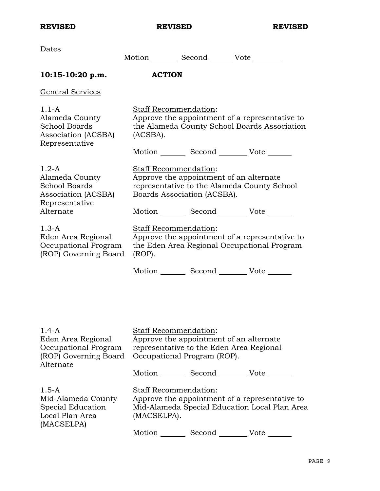| Dates                                                                                       | Motion _________ Second ________ Vote ________                                                                                                 |
|---------------------------------------------------------------------------------------------|------------------------------------------------------------------------------------------------------------------------------------------------|
| $10:15-10:20$ p.m.                                                                          | <b>ACTION</b>                                                                                                                                  |
| General Services                                                                            |                                                                                                                                                |
| $1.1-A$<br>Alameda County<br><b>School Boards</b><br>Association (ACSBA)<br>Representative  | Staff Recommendation:<br>Approve the appointment of a representative to<br>the Alameda County School Boards Association<br>(ACSBA).            |
|                                                                                             | Motion _________ Second __________ Vote _______                                                                                                |
| $1.2-A$<br>Alameda County<br><b>School Boards</b><br>Association (ACSBA)<br>Representative  | Staff Recommendation:<br>Approve the appointment of an alternate<br>representative to the Alameda County School<br>Boards Association (ACSBA). |
| Alternate                                                                                   | Motion _________ Second __________ Vote _______                                                                                                |
| $1.3-A$<br>Eden Area Regional<br>Occupational Program<br>(ROP) Governing Board              | Staff Recommendation:<br>Approve the appointment of a representative to<br>the Eden Area Regional Occupational Program<br>$(ROP)$ .            |
|                                                                                             | Motion _________ Second __________ Vote _______                                                                                                |
| $1.4-A$<br>Eden Area Regional<br>Occupational Program<br>(ROP) Governing Board<br>Alternate | Staff Recommendation:<br>Approve the appointment of an alternate<br>representative to the Eden Area Regional<br>Occupational Program (ROP).    |
|                                                                                             | Motion _________ Second _________ Vote _______                                                                                                 |
| $1.5 - A$<br>Mid-Alameda County<br>Special Education<br>Local Plan Area<br>(MACSELPA)       | Staff Recommendation:<br>Approve the appointment of a representative to<br>Mid-Alameda Special Education Local Plan Area<br>(MACSELPA).        |

Motion Second Vote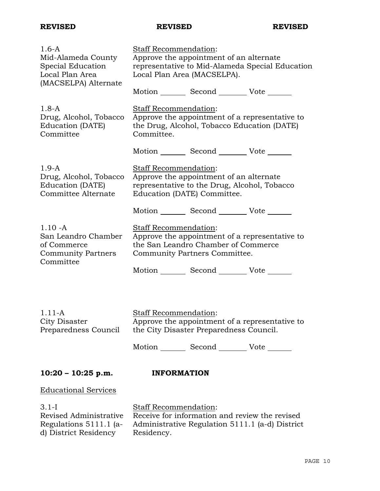d) District Residency

| $1.6-A$<br>Mid-Alameda County<br>Special Education<br>Local Plan Area<br>(MACSELPA) Alternate | Staff Recommendation:<br>Approve the appointment of an alternate<br>representative to Mid-Alameda Special Education<br>Local Plan Area (MACSELPA). |  |
|-----------------------------------------------------------------------------------------------|----------------------------------------------------------------------------------------------------------------------------------------------------|--|
|                                                                                               | Motion _________ Second __________ Vote _______                                                                                                    |  |
| $1.8 - A$<br>Drug, Alcohol, Tobacco<br>Education (DATE)<br>Committee                          | Staff Recommendation:<br>Approve the appointment of a representative to<br>the Drug, Alcohol, Tobacco Education (DATE)<br>Committee.               |  |
|                                                                                               | Motion _________ Second __________ Vote _______                                                                                                    |  |
| $1.9-A$<br>Drug, Alcohol, Tobacco<br>Education (DATE)<br>Committee Alternate                  | Staff Recommendation:<br>Approve the appointment of an alternate<br>representative to the Drug, Alcohol, Tobacco<br>Education (DATE) Committee.    |  |
|                                                                                               | Motion _________ Second __________ Vote _______                                                                                                    |  |
| $1.10 - A$<br>San Leandro Chamber<br>of Commerce<br><b>Community Partners</b><br>Committee    | Staff Recommendation:<br>Approve the appointment of a representative to<br>the San Leandro Chamber of Commerce<br>Community Partners Committee.    |  |
|                                                                                               | Motion _________ Second __________ Vote _______                                                                                                    |  |
| $1.11 - A$<br>City Disaster<br>Preparedness Council                                           | <b>Staff Recommendation:</b><br>Approve the appointment of a representative to<br>the City Disaster Preparedness Council.                          |  |
|                                                                                               | Motion _________ Second __________ Vote _______                                                                                                    |  |
|                                                                                               |                                                                                                                                                    |  |
| $10:20 - 10:25$ p.m.                                                                          | <b>INFORMATION</b>                                                                                                                                 |  |
| <b>Educational Services</b>                                                                   |                                                                                                                                                    |  |
| $3.1 - I$<br>Revised Administrative<br>Regulations 5111.1 (a-                                 | <b>Staff Recommendation:</b><br>Receive for information and review the revised<br>Administrative Regulation 5111.1 (a-d) District                  |  |

Administrative Regulation 5111.1 (a-d) District Residency.